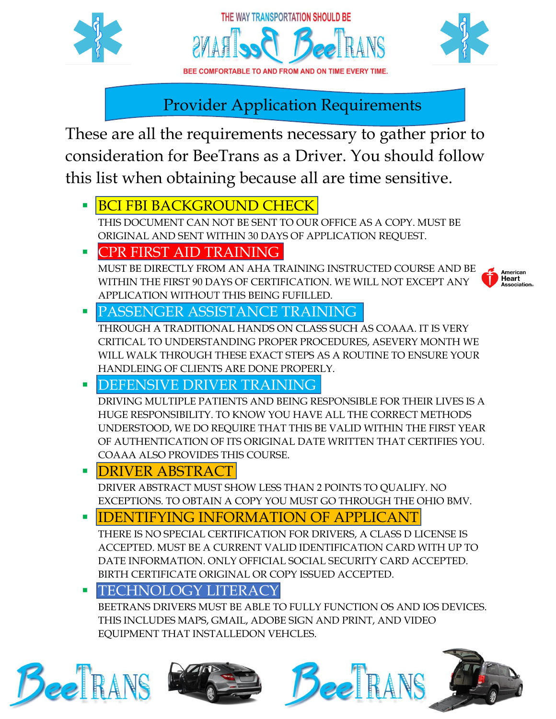





Provider Application Requirements

These are all the requirements necessary to gather prior to consideration for BeeTrans as a Driver. You should follow this list when obtaining because all are time sensitive.

**E BCI FBI BACKGROUND CHECK** 

THIS DOCUMENT CAN NOT BE SENT TO OUR OFFICE AS A COPY. MUST BE ORIGINAL AND SENT WITHIN 30 DAYS OF APPLICATION REQUEST.

**PR FIRST AID TRAINING** 

MUST BE DIRECTLY FROM AN AHA TRAINING INSTRUCTED COURSE AND BE WITHIN THE FIRST 90 DAYS OF CERTIFICATION. WE WILL NOT EXCEPT ANY APPLICATION WITHOUT THIS BEING FUFILLED.



PASSENGER ASSISTANCE TRAINING

THROUGH A TRADITIONAL HANDS ON CLASS SUCH AS COAAA. IT IS VERY CRITICAL TO UNDERSTANDING PROPER PROCEDURES, ASEVERY MONTH WE WILL WALK THROUGH THESE EXACT STEPS AS A ROUTINE TO ENSURE YOUR HANDLEING OF CLIENTS ARE DONE PROPERLY.

DEFENSIVE DRIVER TRAINING

DRIVING MULTIPLE PATIENTS AND BEING RESPONSIBLE FOR THEIR LIVES IS A HUGE RESPONSIBILITY. TO KNOW YOU HAVE ALL THE CORRECT METHODS UNDERSTOOD, WE DO REQUIRE THAT THIS BE VALID WITHIN THE FIRST YEAR OF AUTHENTICATION OF ITS ORIGINAL DATE WRITTEN THAT CERTIFIES YOU. COAAA ALSO PROVIDES THIS COURSE.

**DRIVER ABSTRACT** 

DRIVER ABSTRACT MUST SHOW LESS THAN 2 POINTS TO QUALIFY. NO EXCEPTIONS. TO OBTAIN A COPY YOU MUST GO THROUGH THE OHIO BMV.

## *EXTERING INFORMATION OF APPLICANT*

THERE IS NO SPECIAL CERTIFICATION FOR DRIVERS, A CLASS D LICENSE IS ACCEPTED. MUST BE A CURRENT VALID IDENTIFICATION CARD WITH UP TO DATE INFORMATION. ONLY OFFICIAL SOCIAL SECURITY CARD ACCEPTED. BIRTH CERTIFICATE ORIGINAL OR COPY ISSUED ACCEPTED.

## TECHNOLOGY LITERACY

BEETRANS DRIVERS MUST BE ABLE TO FULLY FUNCTION OS AND IOS DEVICES. THIS INCLUDES MAPS, GMAIL, ADOBE SIGN AND PRINT, AND VIDEO EQUIPMENT THAT INSTALLEDON VEHCLES.